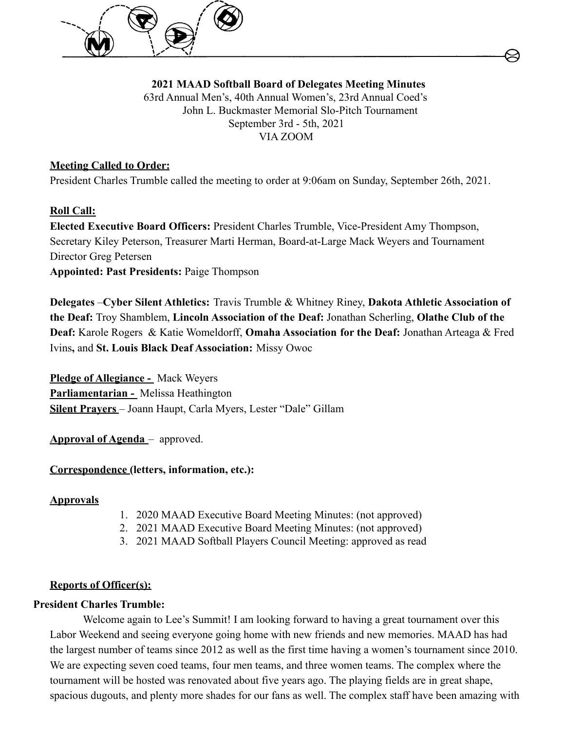

**2021 MAAD Softball Board of Delegates Meeting Minutes** 63rd Annual Men's, 40th Annual Women's, 23rd Annual Coed's John L. Buckmaster Memorial Slo-Pitch Tournament September 3rd - 5th, 2021 VIA ZOOM

# **Meeting Called to Order:**

President Charles Trumble called the meeting to order at 9:06am on Sunday, September 26th, 2021.

## **Roll Call:**

**Elected Executive Board Officers:** President Charles Trumble, Vice-President Amy Thompson, Secretary Kiley Peterson, Treasurer Marti Herman, Board-at-Large Mack Weyers and Tournament Director Greg Petersen **Appointed: Past Presidents:** Paige Thompson

**Delegates** –**Cyber Silent Athletics:** Travis Trumble & Whitney Riney, **Dakota Athletic Association of the Deaf:** Troy Shamblem, **Lincoln Association of the Deaf:** Jonathan Scherling, **Olathe Club of the Deaf:** Karole Rogers & Katie Womeldorff, **Omaha Association for the Deaf:** Jonathan Arteaga & Fred Ivins**,** and **St. Louis Black Deaf Association:** Missy Owoc

**Pledge of Allegiance -** Mack Weyers **Parliamentarian -** Melissa Heathington **Silent Prayers** – Joann Haupt, Carla Myers, Lester "Dale" Gillam

**Approval of Agenda** – approved.

## **Correspondence (letters, information, etc.):**

## **Approvals**

- 1. 2020 MAAD Executive Board Meeting Minutes: (not approved)
- 2. 2021 MAAD Executive Board Meeting Minutes: (not approved)
- 3. 2021 MAAD Softball Players Council Meeting: approved as read

## **Reports of Officer(s):**

## **President Charles Trumble:**

Welcome again to Lee's Summit! I am looking forward to having a great tournament over this Labor Weekend and seeing everyone going home with new friends and new memories. MAAD has had the largest number of teams since 2012 as well as the first time having a women's tournament since 2010. We are expecting seven coed teams, four men teams, and three women teams. The complex where the tournament will be hosted was renovated about five years ago. The playing fields are in great shape, spacious dugouts, and plenty more shades for our fans as well. The complex staff have been amazing with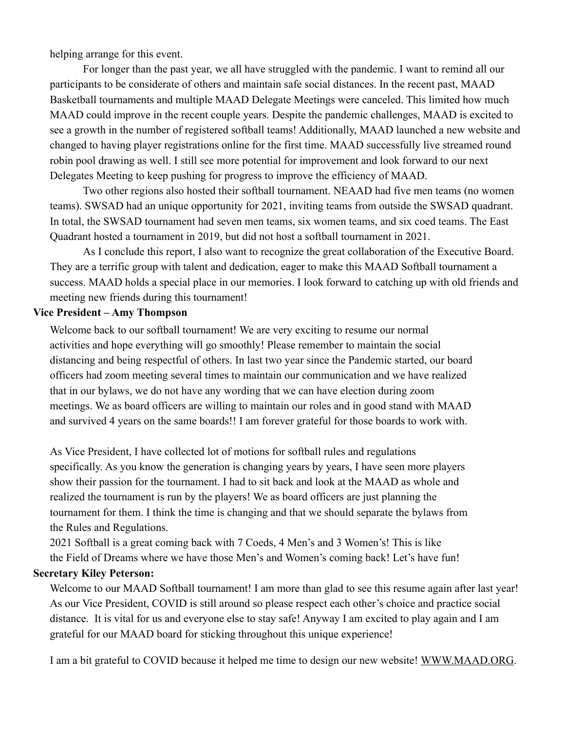helping arrange for this event.

For longer than the past year, we all have struggled with the pandemic. I want to remind all our participants to be considerate of others and maintain safe social distances. In the recent past, MAAD Basketball tournaments and multiple MAAD Delegate Meetings were canceled. This limited how much MAAD could improve in the recent couple years. Despite the pandemic challenges, MAAD is excited to see a growth in the number of registered softball teams! Additionally, MAAD launched a new website and changed to having player registrations online for the first time. MAAD successfully live streamed round robin pool drawing as well. I still see more potential for improvement and look forward to our next Delegates Meeting to keep pushing for progress to improve the efficiency of MAAD.

Two other regions also hosted their softball tournament. NEAAD had five men teams (no women teams). SWSAD had an unique opportunity for 2021, inviting teams from outside the SWSAD quadrant. In total, the SWSAD tournament had seven men teams, six women teams, and six coed teams. The East Quadrant hosted a tournament in 2019, but did not host a softball tournament in 2021.

As I conclude this report, I also want to recognize the great collaboration of the Executive Board. They are a terrific group with talent and dedication, eager to make this MAAD Softball tournament a success. MAAD holds a special place in our memories. I look forward to catching up with old friends and meeting new friends during this tournament!

#### **Vice President – Amy Thompson**

Welcome back to our softball tournament! We are very exciting to resume our normal activities and hope everything will go smoothly! Please remember to maintain the social distancing and being respectful of others. In last two year since the Pandemic started, our board officers had zoom meeting several times to maintain our communication and we have realized that in our bylaws, we do not have any wording that we can have election during zoom meetings. We as board officers are willing to maintain our roles and in good stand with MAAD and survived 4 years on the same boards!! I am forever grateful for those boards to work with.

As Vice President, I have collected lot of motions for softball rules and regulations specifically. As you know the generation is changing years by years, I have seen more players show their passion for the tournament. I had to sit back and look at the MAAD as whole and realized the tournament is run by the players! We as board officers are just planning the tournament for them. I think the time is changing and that we should separate the bylaws from the Rules and Regulations.

2021 Softball is a great coming back with 7 Coeds, 4 Men's and 3 Women's! This is like the Field of Dreams where we have those Men's and Women's coming back! Let's have fun!

### **Secretary Kiley Peterson:**

Welcome to our MAAD Softball tournament! I am more than glad to see this resume again after last year! As our Vice President, COVID is still around so please respect each other's choice and practice social distance. It is vital for us and everyone else to stay safe! Anyway I am excited to play again and I am grateful for our MAAD board for sticking throughout this unique experience!

I am a bit grateful to COVID because it helped me time to design our new website! [WWW.MAAD.ORG](http://www.maad.org).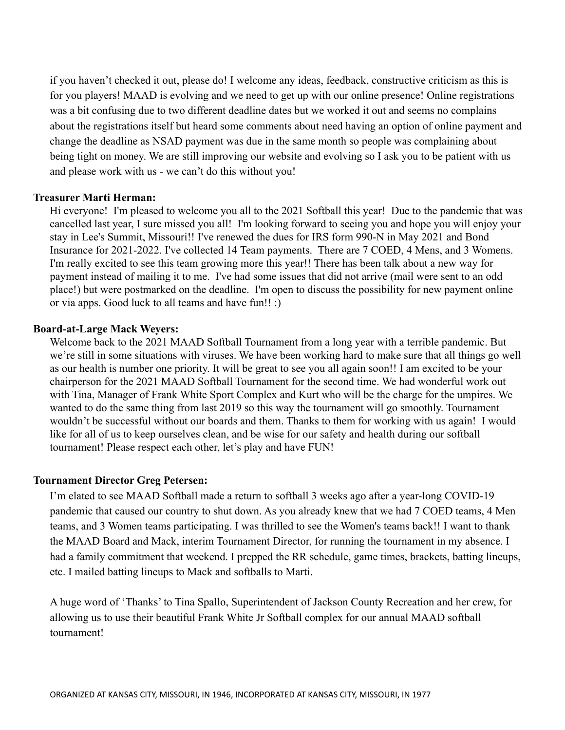if you haven't checked it out, please do! I welcome any ideas, feedback, constructive criticism as this is for you players! MAAD is evolving and we need to get up with our online presence! Online registrations was a bit confusing due to two different deadline dates but we worked it out and seems no complains about the registrations itself but heard some comments about need having an option of online payment and change the deadline as NSAD payment was due in the same month so people was complaining about being tight on money. We are still improving our website and evolving so I ask you to be patient with us and please work with us - we can't do this without you!

#### **Treasurer Marti Herman:**

Hi everyone! I'm pleased to welcome you all to the 2021 Softball this year! Due to the pandemic that was cancelled last year, I sure missed you all! I'm looking forward to seeing you and hope you will enjoy your stay in Lee's Summit, Missouri!! I've renewed the dues for IRS form 990-N in May 2021 and Bond Insurance for 2021-2022. I've collected 14 Team payments. There are 7 COED, 4 Mens, and 3 Womens. I'm really excited to see this team growing more this year!! There has been talk about a new way for payment instead of mailing it to me. I've had some issues that did not arrive (mail were sent to an odd place!) but were postmarked on the deadline. I'm open to discuss the possibility for new payment online or via apps. Good luck to all teams and have fun!! :)

#### **Board-at-Large Mack Weyers:**

Welcome back to the 2021 MAAD Softball Tournament from a long year with a terrible pandemic. But we're still in some situations with viruses. We have been working hard to make sure that all things go well as our health is number one priority. It will be great to see you all again soon!! I am excited to be your chairperson for the 2021 MAAD Softball Tournament for the second time. We had wonderful work out with Tina, Manager of Frank White Sport Complex and Kurt who will be the charge for the umpires. We wanted to do the same thing from last 2019 so this way the tournament will go smoothly. Tournament wouldn't be successful without our boards and them. Thanks to them for working with us again! I would like for all of us to keep ourselves clean, and be wise for our safety and health during our softball tournament! Please respect each other, let's play and have FUN!

#### **Tournament Director Greg Petersen:**

I'm elated to see MAAD Softball made a return to softball 3 weeks ago after a year-long COVID-19 pandemic that caused our country to shut down. As you already knew that we had 7 COED teams, 4 Men teams, and 3 Women teams participating. I was thrilled to see the Women's teams back!! I want to thank the MAAD Board and Mack, interim Tournament Director, for running the tournament in my absence. I had a family commitment that weekend. I prepped the RR schedule, game times, brackets, batting lineups, etc. I mailed batting lineups to Mack and softballs to Marti.

A huge word of 'Thanks' to Tina Spallo, Superintendent of Jackson County Recreation and her crew, for allowing us to use their beautiful Frank White Jr Softball complex for our annual MAAD softball tournament!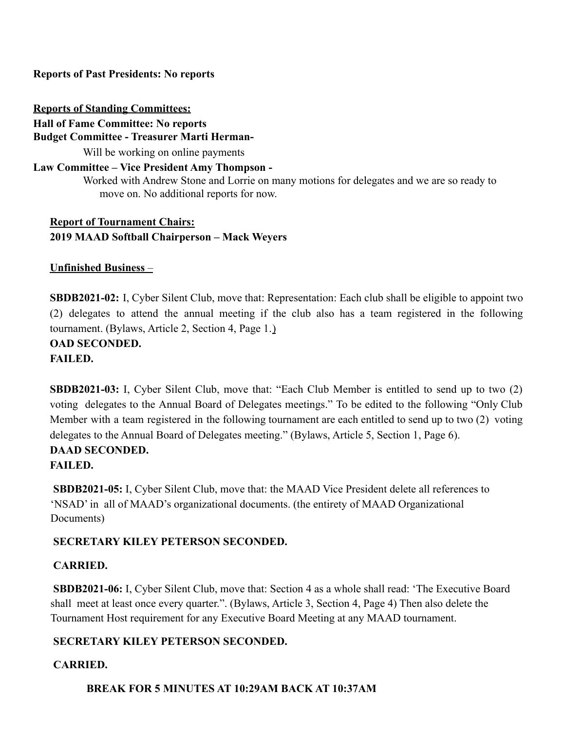**Reports of Past Presidents: No reports**

**Reports of Standing Committees: Hall of Fame Committee: No reports Budget Committee - Treasurer Marti Herman-**Will be working on online payments

### **Law Committee – Vice President Amy Thompson -**

Worked with Andrew Stone and Lorrie on many motions for delegates and we are so ready to move on. No additional reports for now.

**Report of Tournament Chairs: 2019 MAAD Softball Chairperson – Mack Weyers**

**Unfinished Business** –

**SBDB2021-02:** I, Cyber Silent Club, move that: Representation: Each club shall be eligible to appoint two (2) delegates to attend the annual meeting if the club also has a team registered in the following tournament. (Bylaws, Article 2, Section 4, Page 1.)

**OAD SECONDED.**

**FAILED.**

**SBDB2021-03:** I, Cyber Silent Club, move that: "Each Club Member is entitled to send up to two (2) voting delegates to the Annual Board of Delegates meetings." To be edited to the following "Only Club Member with a team registered in the following tournament are each entitled to send up to two (2) voting delegates to the Annual Board of Delegates meeting." (Bylaws, Article 5, Section 1, Page 6).

## **DAAD SECONDED.**

## **FAILED.**

**SBDB2021-05:** I, Cyber Silent Club, move that: the MAAD Vice President delete all references to 'NSAD' in all of MAAD's organizational documents. (the entirety of MAAD Organizational Documents)

# **SECRETARY KILEY PETERSON SECONDED.**

## **CARRIED.**

**SBDB2021-06:** I, Cyber Silent Club, move that: Section 4 as a whole shall read: 'The Executive Board shall meet at least once every quarter.". (Bylaws, Article 3, Section 4, Page 4) Then also delete the Tournament Host requirement for any Executive Board Meeting at any MAAD tournament.

# **SECRETARY KILEY PETERSON SECONDED.**

# **CARRIED.**

**BREAK FOR 5 MINUTES AT 10:29AM BACK AT 10:37AM**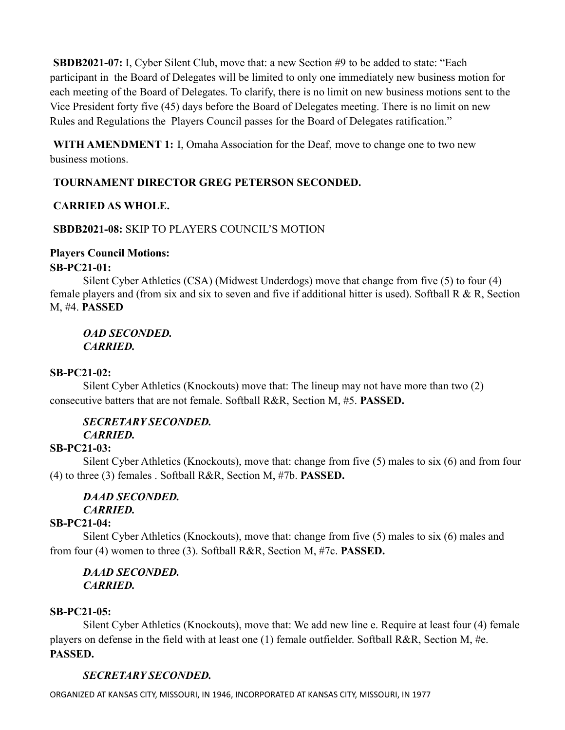**SBDB2021-07:** I, Cyber Silent Club, move that: a new Section #9 to be added to state: "Each participant in the Board of Delegates will be limited to only one immediately new business motion for each meeting of the Board of Delegates. To clarify, there is no limit on new business motions sent to the Vice President forty five (45) days before the Board of Delegates meeting. There is no limit on new Rules and Regulations the Players Council passes for the Board of Delegates ratification."

**WITH AMENDMENT 1:** I, Omaha Association for the Deaf, move to change one to two new business motions.

# **TOURNAMENT DIRECTOR GREG PETERSON SECONDED.**

## **CARRIED AS WHOLE.**

## **SBDB2021-08:** SKIP TO PLAYERS COUNCIL'S MOTION

## **Players Council Motions:**

## **SB-PC21-01:**

Silent Cyber Athletics (CSA) (Midwest Underdogs) move that change from five (5) to four (4) female players and (from six and six to seven and five if additional hitter is used). Softball R & R, Section M, #4. **PASSED**

*OAD SECONDED. CARRIED.*

## **SB-PC21-02:**

Silent Cyber Athletics (Knockouts) move that: The lineup may not have more than two (2) consecutive batters that are not female. Softball R&R, Section M, #5. **PASSED.**

#### *SECRETARY SECONDED. CARRIED.*

# **SB-PC21-03:**

Silent Cyber Athletics (Knockouts), move that: change from five (5) males to six (6) and from four (4) to three (3) females . Softball R&R, Section M, #7b. **PASSED.**

## *DAAD SECONDED. CARRIED.*

# **SB-PC21-04:**

Silent Cyber Athletics (Knockouts), move that: change from five (5) males to six (6) males and from four (4) women to three (3). Softball R&R, Section M, #7c. **PASSED.**

## *DAAD SECONDED. CARRIED.*

## **SB-PC21-05:**

Silent Cyber Athletics (Knockouts), move that: We add new line e. Require at least four (4) female players on defense in the field with at least one (1) female outfielder. Softball R&R, Section M, #e. **PASSED.**

# *SECRETARY SECONDED.*

ORGANIZED AT KANSAS CITY, MISSOURI, IN 1946, INCORPORATED AT KANSAS CITY, MISSOURI, IN 1977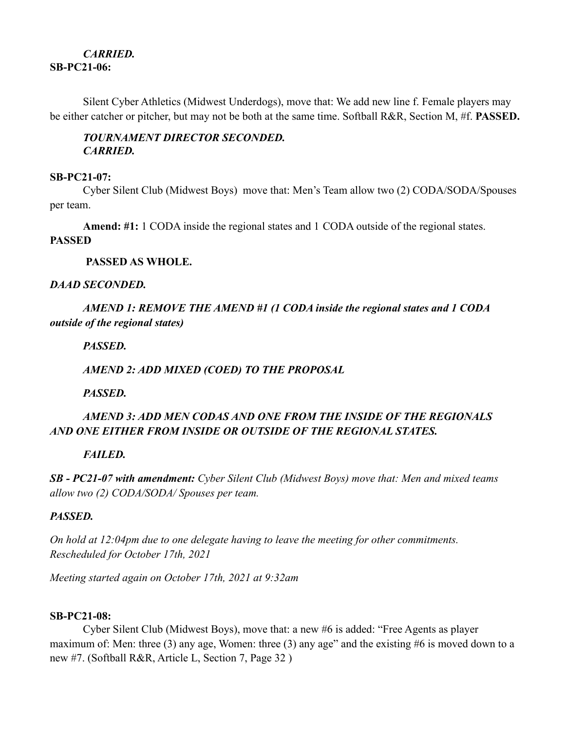## *CARRIED.* **SB-PC21-06:**

Silent Cyber Athletics (Midwest Underdogs), move that: We add new line f. Female players may be either catcher or pitcher, but may not be both at the same time. Softball R&R, Section M, #f. **PASSED.**

## *TOURNAMENT DIRECTOR SECONDED. CARRIED.*

#### **SB-PC21-07:**

Cyber Silent Club (Midwest Boys) move that: Men's Team allow two (2) CODA/SODA/Spouses per team.

**Amend: #1:** 1 CODA inside the regional states and 1 CODA outside of the regional states.

### **PASSED**

## **PASSED AS WHOLE.**

## *DAAD SECONDED.*

# *AMEND 1: REMOVE THE AMEND #1 (1 CODA inside the regional states and 1 CODA outside of the regional states)*

## *PASSED.*

# *AMEND 2: ADD MIXED (COED) TO THE PROPOSAL*

*PASSED.*

# *AMEND 3: ADD MEN CODAS AND ONE FROM THE INSIDE OF THE REGIONALS AND ONE EITHER FROM INSIDE OR OUTSIDE OF THE REGIONAL STATES.*

# *FAILED.*

*SB - PC21-07 with amendment: Cyber Silent Club (Midwest Boys) move that: Men and mixed teams allow two (2) CODA/SODA/ Spouses per team.*

## *PASSED.*

*On hold at 12:04pm due to one delegate having to leave the meeting for other commitments. Rescheduled for October 17th, 2021*

*Meeting started again on October 17th, 2021 at 9:32am*

## **SB-PC21-08:**

Cyber Silent Club (Midwest Boys), move that: a new #6 is added: "Free Agents as player maximum of: Men: three (3) any age, Women: three (3) any age" and the existing #6 is moved down to a new #7. (Softball R&R, Article L, Section 7, Page 32 )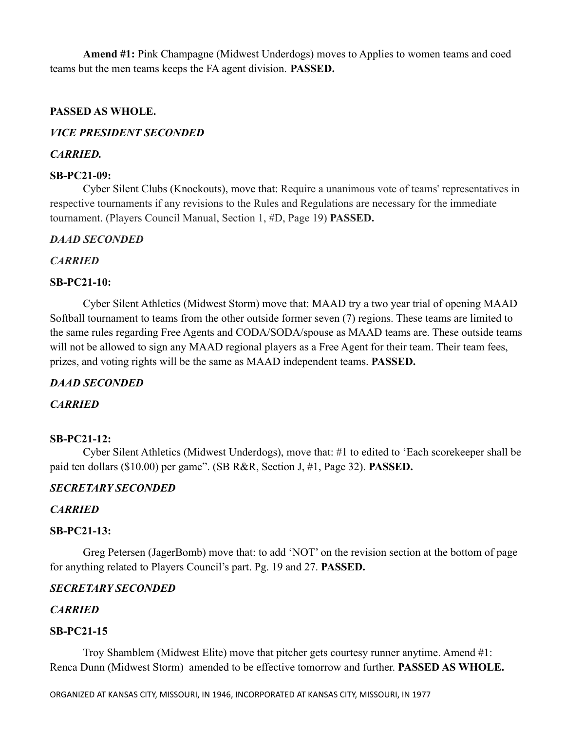**Amend #1:** Pink Champagne (Midwest Underdogs) moves to Applies to women teams and coed teams but the men teams keeps the FA agent division. **PASSED.**

### **PASSED AS WHOLE.**

## *VICE PRESIDENT SECONDED*

### *CARRIED.*

### **SB-PC21-09:**

Cyber Silent Clubs (Knockouts), move that: Require a unanimous vote of teams' representatives in respective tournaments if any revisions to the Rules and Regulations are necessary for the immediate tournament. (Players Council Manual, Section 1, #D, Page 19) **PASSED.**

### *DAAD SECONDED*

## *CARRIED*

### **SB-PC21-10:**

Cyber Silent Athletics (Midwest Storm) move that: MAAD try a two year trial of opening MAAD Softball tournament to teams from the other outside former seven (7) regions. These teams are limited to the same rules regarding Free Agents and CODA/SODA/spouse as MAAD teams are. These outside teams will not be allowed to sign any MAAD regional players as a Free Agent for their team. Their team fees, prizes, and voting rights will be the same as MAAD independent teams. **PASSED.**

## *DAAD SECONDED*

#### *CARRIED*

#### **SB-PC21-12:**

Cyber Silent Athletics (Midwest Underdogs), move that: #1 to edited to 'Each scorekeeper shall be paid ten dollars (\$10.00) per game". (SB R&R, Section J, #1, Page 32). **PASSED.**

## *SECRETARY SECONDED*

## *CARRIED*

#### **SB-PC21-13:**

Greg Petersen (JagerBomb) move that: to add 'NOT' on the revision section at the bottom of page for anything related to Players Council's part. Pg. 19 and 27. **PASSED.**

## *SECRETARY SECONDED*

# *CARRIED*

## **SB-PC21-15**

Troy Shamblem (Midwest Elite) move that pitcher gets courtesy runner anytime. Amend #1: Renca Dunn (Midwest Storm) amended to be effective tomorrow and further. **PASSED AS WHOLE.**

ORGANIZED AT KANSAS CITY, MISSOURI, IN 1946, INCORPORATED AT KANSAS CITY, MISSOURI, IN 1977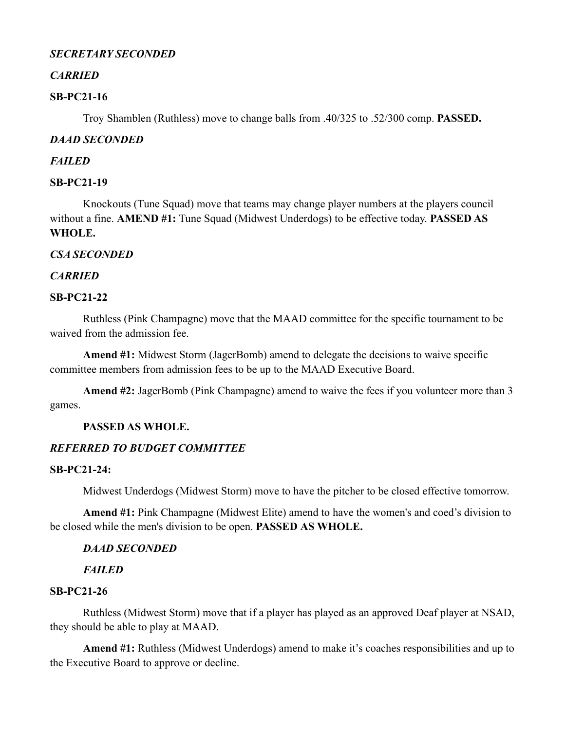### *SECRETARY SECONDED*

### *CARRIED*

### **SB-PC21-16**

Troy Shamblen (Ruthless) move to change balls from .40/325 to .52/300 comp. **PASSED.**

### *DAAD SECONDED*

#### *FAILED*

### **SB-PC21-19**

Knockouts (Tune Squad) move that teams may change player numbers at the players council without a fine. **AMEND #1:** Tune Squad (Midwest Underdogs) to be effective today. **PASSED AS WHOLE.**

### *CSA SECONDED*

### *CARRIED*

#### **SB-PC21-22**

Ruthless (Pink Champagne) move that the MAAD committee for the specific tournament to be waived from the admission fee.

**Amend #1:** Midwest Storm (JagerBomb) amend to delegate the decisions to waive specific committee members from admission fees to be up to the MAAD Executive Board.

**Amend #2:** JagerBomb (Pink Champagne) amend to waive the fees if you volunteer more than 3 games.

#### **PASSED AS WHOLE.**

## *REFERRED TO BUDGET COMMITTEE*

#### **SB-PC21-24:**

Midwest Underdogs (Midwest Storm) move to have the pitcher to be closed effective tomorrow.

**Amend #1:** Pink Champagne (Midwest Elite) amend to have the women's and coed's division to be closed while the men's division to be open. **PASSED AS WHOLE.**

#### *DAAD SECONDED*

## *FAILED*

## **SB-PC21-26**

Ruthless (Midwest Storm) move that if a player has played as an approved Deaf player at NSAD, they should be able to play at MAAD.

**Amend #1:** Ruthless (Midwest Underdogs) amend to make it's coaches responsibilities and up to the Executive Board to approve or decline.